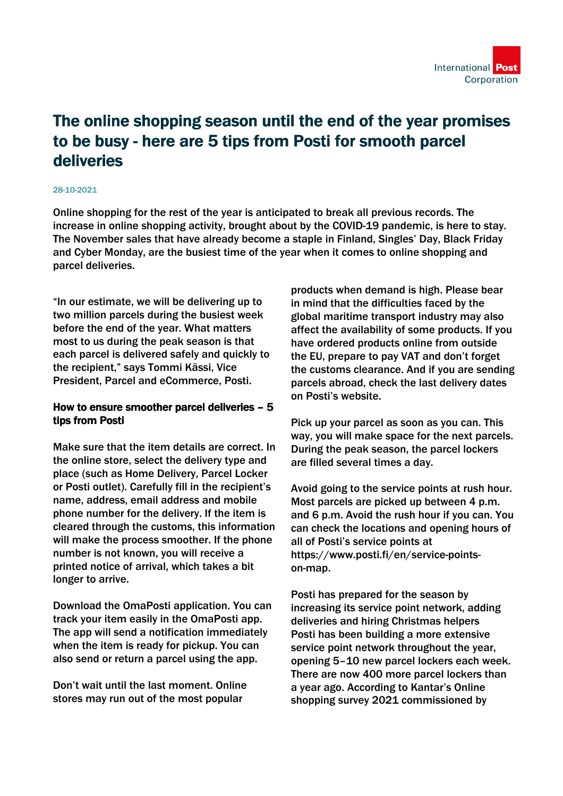

## The online shopping season until the end of the year promises to be busy - here are 5 tips from Posti for smooth parcel deliveries

## 28-10-2021

Online shopping for the rest of the year is anticipated to break all previous records. The increase in online shopping activity, brought about by the COVID-19 pandemic, is here to stay. The November sales that have already become a staple in Finland, Singles' Day, Black Friday and Cyber Monday, are the busiest time of the year when it comes to online shopping and parcel deliveries.

"In our estimate, we will be delivering up to two million parcels during the busiest week before the end of the year. What matters most to us during the peak season is that each parcel is delivered safely and quickly to the recipient," says Tommi Kässi, Vice President, Parcel and eCommerce, Posti.

## How to ensure smoother parcel deliveries – 5 tips from Posti

Make sure that the item details are correct. In the online store, select the delivery type and place (such as Home Delivery, Parcel Locker or Posti outlet). Carefully fill in the recipient's name, address, email address and mobile phone number for the delivery. If the item is cleared through the customs, this information will make the process smoother. If the phone number is not known, you will receive a printed notice of arrival, which takes a bit longer to arrive.

Download the OmaPosti application. You can track your item easily in the OmaPosti app. The app will send a notification immediately when the item is ready for pickup. You can also send or return a parcel using the app.

Don't wait until the last moment. Online stores may run out of the most popular

products when demand is high. Please bear in mind that the difficulties faced by the global maritime transport industry may also affect the availability of some products. If you have ordered products online from outside the EU, prepare to pay VAT and don't forget the customs clearance. And if you are sending parcels abroad, check the last delivery dates on Posti's website.

Pick up your parcel as soon as you can. This way, you will make space for the next parcels. During the peak season, the parcel lockers are filled several times a day.

Avoid going to the service points at rush hour. Most parcels are picked up between 4 p.m. and 6 p.m. Avoid the rush hour if you can. You can check the locations and opening hours of all of Posti's service points at https://www.posti.fi/en/service-pointson-map.

Posti has prepared for the season by increasing its service point network, adding deliveries and hiring Christmas helpers Posti has been building a more extensive service point network throughout the year, opening 5–10 new parcel lockers each week. There are now 400 more parcel lockers than a year ago. According to Kantar's Online shopping survey 2021 commissioned by